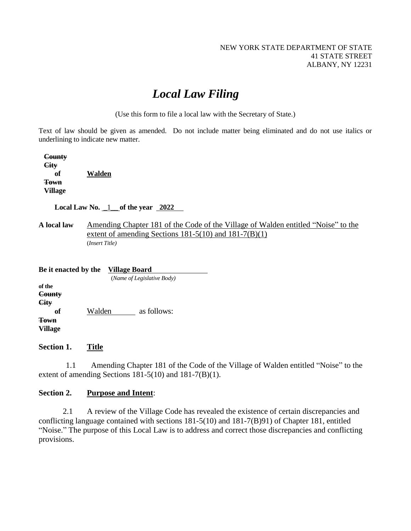# *Local Law Filing*

(Use this form to file a local law with the Secretary of State.)

Text of law should be given as amended. Do not include matter being eliminated and do not use italics or underlining to indicate new matter.

 **County City of Walden Town Village**

 **Local Law No.** \_1\_\_ **of the year 2022**

**A local law** Amending Chapter 181 of the Code of the Village of Walden entitled "Noise" to the extent of amending Sections  $181-5(10)$  and  $181-7(B)(1)$ (*Insert Title)*

| Be it enacted by the   |  | Village Board<br>(Name of Legislative Body) |  |
|------------------------|--|---------------------------------------------|--|
|                        |  |                                             |  |
| Town<br><b>Village</b> |  |                                             |  |

**Section 1. Title**

1.1 Amending Chapter 181 of the Code of the Village of Walden entitled "Noise" to the extent of amending Sections 181-5(10) and 181-7(B)(1).

#### **Section 2. Purpose and Intent**:

2.1 A review of the Village Code has revealed the existence of certain discrepancies and conflicting language contained with sections 181-5(10) and 181-7(B)91) of Chapter 181, entitled "Noise." The purpose of this Local Law is to address and correct those discrepancies and conflicting provisions.